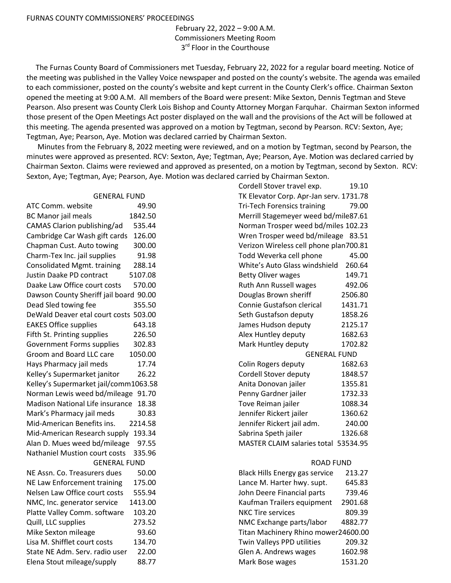February 22, 2022 – 9:00 A.M. Commissioners Meeting Room 3<sup>rd</sup> Floor in the Courthouse

 The Furnas County Board of Commissioners met Tuesday, February 22, 2022 for a regular board meeting. Notice of the meeting was published in the Valley Voice newspaper and posted on the county's website. The agenda was emailed to each commissioner, posted on the county's website and kept current in the County Clerk's office. Chairman Sexton opened the meeting at 9:00 A.M. All members of the Board were present: Mike Sexton, Dennis Tegtman and Steve Pearson. Also present was County Clerk Lois Bishop and County Attorney Morgan Farquhar. Chairman Sexton informed those present of the Open Meetings Act poster displayed on the wall and the provisions of the Act will be followed at this meeting. The agenda presented was approved on a motion by Tegtman, second by Pearson. RCV: Sexton, Aye; Tegtman, Aye; Pearson, Aye. Motion was declared carried by Chairman Sexton.

 Minutes from the February 8, 2022 meeting were reviewed, and on a motion by Tegtman, second by Pearson, the minutes were approved as presented. RCV: Sexton, Aye; Tegtman, Aye; Pearson, Aye. Motion was declared carried by Chairman Sexton. Claims were reviewed and approved as presented, on a motion by Tegtman, second by Sexton. RCV: Sexton, Aye; Tegtman, Aye; Pearson, Aye. Motion was declared carried by Chairman Sexton.

## GENERAL FUND

ATC Comm. website 49.90 BC Manor jail meals 1842.50 CAMAS Clarion publishing/ad 535.44 Cambridge Car Wash gift cards 126.00 Chapman Cust. Auto towing 300.00 Charm-Tex Inc. jail supplies 91.98 Consolidated Mgmt. training 288.14 Justin Daake PD contract 5107.08 Daake Law Office court costs 570.00 Dawson County Sheriff jail board 90.00 Dead Sled towing fee 355.50 DeWald Deaver etal court costs 503.00 EAKES Office supplies 643.18 Fifth St. Printing supplies 226.50 Government Forms supplies 302.83 Groom and Board LLC care 1050.00 Hays Pharmacy jail meds 17.74 Kelley's Supermarket janitor 26.22 Kelley's Supermarket jail/comm1063.58 Norman Lewis weed bd/mileage 91.70 Madison National Life insurance 18.38 Mark's Pharmacy jail meds 30.83 Mid-American Benefits ins. 2214.58 Mid-American Research supply 193.34 Alan D. Mues weed bd/mileage 97.55 Nathaniel Mustion court costs 335.96 GENERAL FUND NE Assn. Co. Treasurers dues 50.00 NE Law Enforcement training 175.00 Nelsen Law Office court costs 555.94 NMC, Inc. generator service 1413.00 Platte Valley Comm. software 103.20 Quill, LLC supplies 273.52 Mike Sexton mileage 93.60 Lisa M. Shifflet court costs 134.70 State NE Adm. Serv. radio user 22.00 Elena Stout mileage/supply 88.77

| Cordell Stover travel exp.              | 19.10    |
|-----------------------------------------|----------|
| TK Elevator Corp. Apr-Jan serv. 1731.78 |          |
| <b>Tri-Tech Forensics training</b>      | 79.00    |
| Merrill Stagemeyer weed bd/mile87.61    |          |
| Norman Trosper weed bd/miles 102.23     |          |
| Wren Trosper weed bd/mileage 83.51      |          |
| Verizon Wireless cell phone plan700.81  |          |
| Todd Weverka cell phone                 | 45.00    |
| White's Auto Glass windshield           | 260.64   |
| <b>Betty Oliver wages</b>               | 149.71   |
| Ruth Ann Russell wages                  | 492.06   |
| Douglas Brown sheriff                   | 2506.80  |
| Connie Gustafson clerical               | 1431.71  |
| Seth Gustafson deputy                   | 1858.26  |
| James Hudson deputy                     | 2125.17  |
| Alex Huntley deputy                     | 1682.63  |
| Mark Huntley deputy                     | 1702.82  |
| <b>GENERAL FUND</b>                     |          |
| Colin Rogers deputy                     | 1682.63  |
| Cordell Stover deputy                   | 1848.57  |
| Anita Donovan jailer                    | 1355.81  |
| Penny Gardner jailer                    | 1732.33  |
| Tove Reiman jailer                      | 1088.34  |
| Jennifer Rickert jailer                 | 1360.62  |
| Jennifer Rickert jail adm.              | 240.00   |
| Sabrina Speth jailer                    | 1326.68  |
| <b>MASTER CLAIM salaries total</b>      | 53534.95 |
| <b>ROAD FUND</b>                        |          |
| <b>Black Hills Energy gas service</b>   | 213.27   |
| Lance M. Harter hwy. supt.              | 645.83   |
| John Deere Financial parts              | 739.46   |
| Kaufman Trailers equipment              | 2901.68  |
| <b>NKC Tire services</b>                | 809.39   |
| NMC Exchange parts/labor                | 4882.77  |
| Titan Machinery Rhino mower24600.00     |          |
| Twin Valleys PPD utilities              | 209.32   |
| Glen A. Andrews wages                   | 1602.98  |

Mark Bose wages 1531.20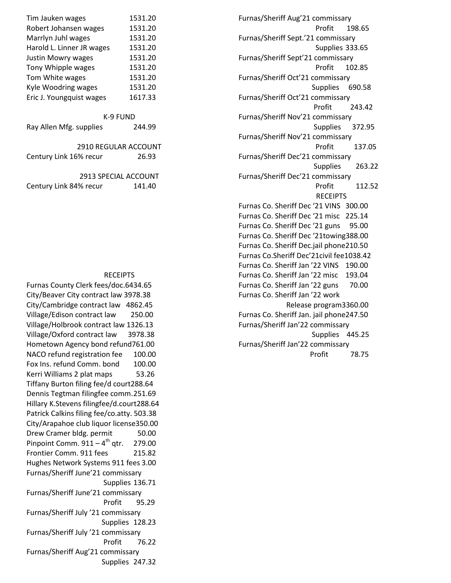| Furnas/Sheriff Aug'21 commissary          |  |  |
|-------------------------------------------|--|--|
| Profit<br>198.65                          |  |  |
| Furnas/Sheriff Sept.'21 commissary        |  |  |
| Supplies 333.65                           |  |  |
| Furnas/Sheriff Sept'21 commissary         |  |  |
| 102.85<br>Profit                          |  |  |
| Furnas/Sheriff Oct'21 commissary          |  |  |
| Supplies 690.58                           |  |  |
| Furnas/Sheriff Oct'21 commissary          |  |  |
| Profit<br>243.42                          |  |  |
| Furnas/Sheriff Nov'21 commissary          |  |  |
| Supplies 372.95                           |  |  |
| Furnas/Sheriff Nov'21 commissary          |  |  |
| 137.05<br>Profit                          |  |  |
| Furnas/Sheriff Dec'21 commissary          |  |  |
| 263.22<br><b>Supplies</b>                 |  |  |
| Furnas/Sheriff Dec'21 commissary          |  |  |
| Profit<br>112.52                          |  |  |
| <b>RECEIPTS</b>                           |  |  |
| Furnas Co. Sheriff Dec '21 VINS 300.00    |  |  |
| Furnas Co. Sheriff Dec '21 misc 225.14    |  |  |
| Furnas Co. Sheriff Dec '21 guns<br>95.00  |  |  |
| Furnas Co. Sheriff Dec '21towing388.00    |  |  |
| Furnas Co. Sheriff Dec.jail phone210.50   |  |  |
| Furnas Co.Sheriff Dec'21civil fee1038.42  |  |  |
| Furnas Co. Sheriff Jan '22 VINS 190.00    |  |  |
| Furnas Co. Sheriff Jan '22 misc<br>193.04 |  |  |
| Furnas Co. Sheriff Jan '22 guns<br>70.00  |  |  |
| Furnas Co. Sheriff Jan '22 work           |  |  |
| Release program3360.00                    |  |  |
| Furnas Co. Sheriff Jan. jail phone247.50  |  |  |
| Furnas/Sheriff Jan'22 commissary          |  |  |
| Supplies<br>445.25                        |  |  |
| Furnas/Sheriff Jan'22 commissary<br>78.75 |  |  |
| Profit                                    |  |  |

| Tim Jauken wages          | 1531.20 |
|---------------------------|---------|
| Robert Johansen wages     | 1531.20 |
| Marrlyn Juhl wages        | 1531.20 |
| Harold L. Linner JR wages | 1531.20 |
| <b>Justin Mowry wages</b> | 1531.20 |
| Tony Whipple wages        | 1531.20 |
| Tom White wages           | 1531.20 |
| Kyle Woodring wages       | 1531.20 |
| Eric J. Youngquist wages  | 1617.33 |
|                           |         |
| K-9 FUND                  |         |

| Ray Allen Mfg. supplies | 244.99 |
|-------------------------|--------|
|                         |        |

| 2910 REGULAR ACCOUNT   |       |
|------------------------|-------|
| Century Link 16% recur | 26.93 |

| 2913 SPECIAL ACCOUNT   |        |
|------------------------|--------|
| Century Link 84% recur | 141.40 |

## **RECEIPTS**

Furnas County Clerk fees/doc.6434.65 City/Beaver City contract law 3978.38 City/Cambridge contract law 4862.45 Village/Edison contract law 250.00 Village/Holbrook contract law 1326.13 Village/Oxford contract law 3978.38 Hometown Agency bond refund761.00 NACO refund registration fee 100.00 Fox Ins. refund Comm. bond 100.00 Kerri Williams 2 plat maps 53.26 Tiffany Burton filing fee/d court288.64 Dennis Tegtman filingfee comm. 251.69 Hillary K.Stevens filingfee/d.court288.64 Patrick Calkins filing fee/co.atty. 503.38 City/Arapahoe club liquor license350.00 Drew Cramer bldg. permit 50.00 Pinpoint Comm.  $911 - 4$ <sup>th</sup> qtr. 279.00 Frontier Comm. 911 fees 215.82 Hughes Network Systems 911 fees 3.00 Furnas/Sheriff June'21 commissary Supplies 136.71 Furnas/Sheriff June'21 commissary Profit 95.29 Furnas/Sheriff July '21 commissary Supplies 128.23 Furnas/Sheriff July '21 commissary Profit 76.22 Furnas/Sheriff Aug'21 commissary Supplies 247.32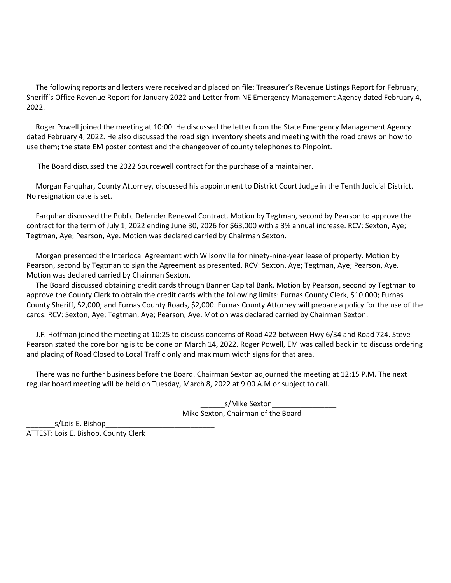The following reports and letters were received and placed on file: Treasurer's Revenue Listings Report for February; Sheriff's Office Revenue Report for January 2022 and Letter from NE Emergency Management Agency dated February 4, 2022.

 Roger Powell joined the meeting at 10:00. He discussed the letter from the State Emergency Management Agency dated February 4, 2022. He also discussed the road sign inventory sheets and meeting with the road crews on how to use them; the state EM poster contest and the changeover of county telephones to Pinpoint.

The Board discussed the 2022 Sourcewell contract for the purchase of a maintainer.

 Morgan Farquhar, County Attorney, discussed his appointment to District Court Judge in the Tenth Judicial District. No resignation date is set.

 Farquhar discussed the Public Defender Renewal Contract. Motion by Tegtman, second by Pearson to approve the contract for the term of July 1, 2022 ending June 30, 2026 for \$63,000 with a 3% annual increase. RCV: Sexton, Aye; Tegtman, Aye; Pearson, Aye. Motion was declared carried by Chairman Sexton.

 Morgan presented the Interlocal Agreement with Wilsonville for ninety-nine-year lease of property. Motion by Pearson, second by Tegtman to sign the Agreement as presented. RCV: Sexton, Aye; Tegtman, Aye; Pearson, Aye. Motion was declared carried by Chairman Sexton.

 The Board discussed obtaining credit cards through Banner Capital Bank. Motion by Pearson, second by Tegtman to approve the County Clerk to obtain the credit cards with the following limits: Furnas County Clerk, \$10,000; Furnas County Sheriff, \$2,000; and Furnas County Roads, \$2,000. Furnas County Attorney will prepare a policy for the use of the cards. RCV: Sexton, Aye; Tegtman, Aye; Pearson, Aye. Motion was declared carried by Chairman Sexton.

 J.F. Hoffman joined the meeting at 10:25 to discuss concerns of Road 422 between Hwy 6/34 and Road 724. Steve Pearson stated the core boring is to be done on March 14, 2022. Roger Powell, EM was called back in to discuss ordering and placing of Road Closed to Local Traffic only and maximum width signs for that area.

 There was no further business before the Board. Chairman Sexton adjourned the meeting at 12:15 P.M. The next regular board meeting will be held on Tuesday, March 8, 2022 at 9:00 A.M or subject to call.

> \_\_\_\_\_\_s/Mike Sexton\_\_\_\_\_\_\_\_\_\_\_\_\_\_\_\_ Mike Sexton, Chairman of the Board

\_\_\_\_\_\_\_s/Lois E. Bishop\_\_\_\_\_\_\_\_\_\_\_\_\_\_\_\_\_\_\_\_\_\_\_\_\_\_\_ ATTEST: Lois E. Bishop, County Clerk